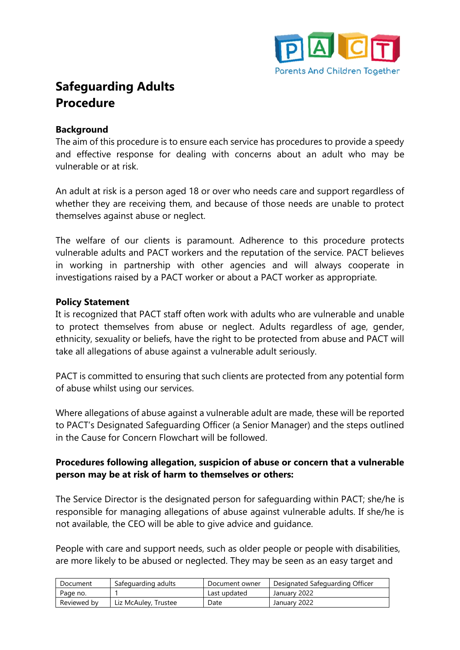

# **Safeguarding Adults Procedure**

#### **Background**

The aim of this procedure is to ensure each service has procedures to provide a speedy and effective response for dealing with concerns about an adult who may be vulnerable or at risk.

An adult at risk is a person aged 18 or over who needs care and support regardless of whether they are receiving them, and because of those needs are unable to protect themselves against abuse or neglect.

The welfare of our clients is paramount. Adherence to this procedure protects vulnerable adults and PACT workers and the reputation of the service. PACT believes in working in partnership with other agencies and will always cooperate in investigations raised by a PACT worker or about a PACT worker as appropriate.

#### **Policy Statement**

It is recognized that PACT staff often work with adults who are vulnerable and unable to protect themselves from abuse or neglect. Adults regardless of age, gender, ethnicity, sexuality or beliefs, have the right to be protected from abuse and PACT will take all allegations of abuse against a vulnerable adult seriously.

PACT is committed to ensuring that such clients are protected from any potential form of abuse whilst using our services.

Where allegations of abuse against a vulnerable adult are made, these will be reported to PACT's Designated Safeguarding Officer (a Senior Manager) and the steps outlined in the Cause for Concern Flowchart will be followed.

#### **Procedures following allegation, suspicion of abuse or concern that a vulnerable person may be at risk of harm to themselves or others:**

The Service Director is the designated person for safeguarding within PACT; she/he is responsible for managing allegations of abuse against vulnerable adults. If she/he is not available, the CEO will be able to give advice and guidance.

People with care and support needs, such as older people or people with disabilities, are more likely to be abused or neglected. They may be seen as an easy target and

| Document    | Safeguarding adults  | Document owner | Designated Safeguarding Officer |
|-------------|----------------------|----------------|---------------------------------|
| Page no.    |                      | Last updated   | January 2022                    |
| Reviewed by | Liz McAuley, Trustee | Date           | January 2022                    |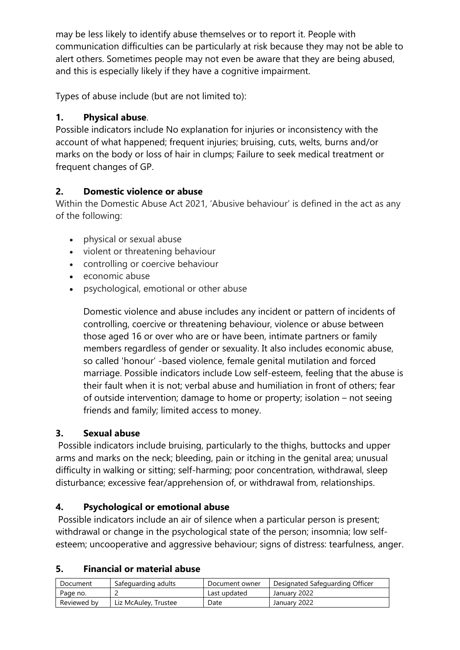may be less likely to identify abuse themselves or to report it. People with communication difficulties can be particularly at risk because they may not be able to alert others. Sometimes people may not even be aware that they are being abused, and this is especially likely if they have a cognitive impairment.

Types of abuse include (but are not limited to):

## **1. Physical abuse**.

Possible indicators include No explanation for injuries or inconsistency with the account of what happened; frequent injuries; bruising, cuts, welts, burns and/or marks on the body or loss of hair in clumps; Failure to seek medical treatment or frequent changes of GP.

## **2. Domestic violence or abuse**

Within the Domestic Abuse Act 2021, 'Abusive behaviour' is defined in the act as any of the following:

- physical or sexual abuse
- violent or threatening behaviour
- controlling or coercive behaviour
- economic abuse
- psychological, emotional or other abuse

Domestic violence and abuse includes any incident or pattern of incidents of controlling, coercive or threatening behaviour, violence or abuse between those aged 16 or over who are or have been, intimate partners or family members regardless of gender or sexuality. It also includes economic abuse, so called 'honour' -based violence, female genital mutilation and forced marriage. Possible indicators include Low self-esteem, feeling that the abuse is their fault when it is not; verbal abuse and humiliation in front of others; fear of outside intervention; damage to home or property; isolation – not seeing friends and family; limited access to money.

## **3. Sexual abuse**

Possible indicators include bruising, particularly to the thighs, buttocks and upper arms and marks on the neck; bleeding, pain or itching in the genital area; unusual difficulty in walking or sitting; self-harming; poor concentration, withdrawal, sleep disturbance; excessive fear/apprehension of, or withdrawal from, relationships.

## **4. Psychological or emotional abuse**

Possible indicators include an air of silence when a particular person is present; withdrawal or change in the psychological state of the person; insomnia; low selfesteem; uncooperative and aggressive behaviour; signs of distress: tearfulness, anger.

### **5. Financial or material abuse**

| Document    | Safeguarding adults  | Document owner | Designated Safeguarding Officer |
|-------------|----------------------|----------------|---------------------------------|
| Page no.    |                      | Last updated   | January 2022                    |
| Reviewed by | Liz McAuley, Trustee | Date           | January 2022                    |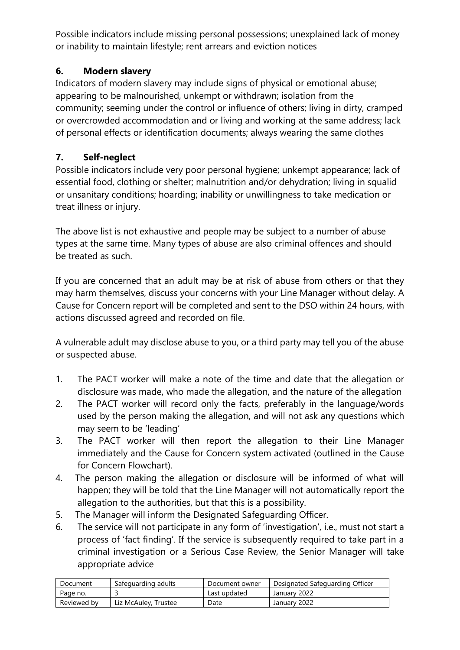Possible indicators include missing personal possessions; unexplained lack of money or inability to maintain lifestyle; rent arrears and eviction notices

## **6. Modern slavery**

Indicators of modern slavery may include signs of physical or emotional abuse; appearing to be malnourished, unkempt or withdrawn; isolation from the community; seeming under the control or influence of others; living in dirty, cramped or overcrowded accommodation and or living and working at the same address; lack of personal effects or identification documents; always wearing the same clothes

# **7. Self-neglect**

Possible indicators include very poor personal hygiene; unkempt appearance; lack of essential food, clothing or shelter; malnutrition and/or dehydration; living in squalid or unsanitary conditions; hoarding; inability or unwillingness to take medication or treat illness or injury.

The above list is not exhaustive and people may be subject to a number of abuse types at the same time. Many types of abuse are also criminal offences and should be treated as such.

If you are concerned that an adult may be at risk of abuse from others or that they may harm themselves, discuss your concerns with your Line Manager without delay. A Cause for Concern report will be completed and sent to the DSO within 24 hours, with actions discussed agreed and recorded on file.

A vulnerable adult may disclose abuse to you, or a third party may tell you of the abuse or suspected abuse.

- 1. The PACT worker will make a note of the time and date that the allegation or disclosure was made, who made the allegation, and the nature of the allegation
- 2. The PACT worker will record only the facts, preferably in the language/words used by the person making the allegation, and will not ask any questions which may seem to be 'leading'
- 3. The PACT worker will then report the allegation to their Line Manager immediately and the Cause for Concern system activated (outlined in the Cause for Concern Flowchart).
- 4. The person making the allegation or disclosure will be informed of what will happen; they will be told that the Line Manager will not automatically report the allegation to the authorities, but that this is a possibility.
- 5. The Manager will inform the Designated Safeguarding Officer.
- 6. The service will not participate in any form of 'investigation', i.e., must not start a process of 'fact finding'. If the service is subsequently required to take part in a criminal investigation or a Serious Case Review, the Senior Manager will take appropriate advice

| Document    | Safeguarding adults  | Document owner | Designated Safeguarding Officer |
|-------------|----------------------|----------------|---------------------------------|
| Page no.    |                      | Last updated   | January 2022                    |
| Reviewed by | Liz McAuley, Trustee | Date           | January 2022                    |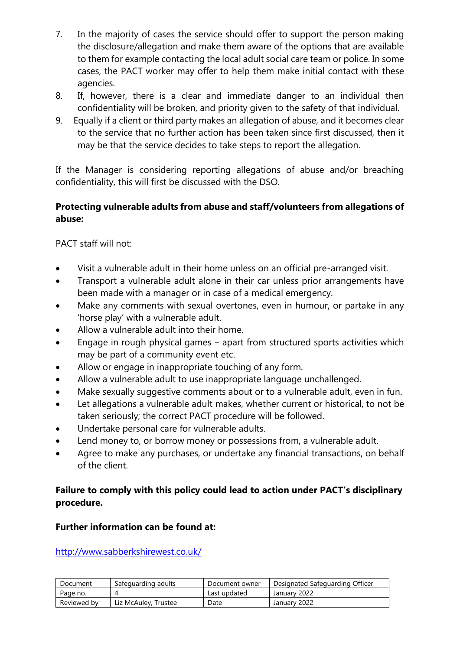- 7. In the majority of cases the service should offer to support the person making the disclosure/allegation and make them aware of the options that are available to them for example contacting the local adult social care team or police. In some cases, the PACT worker may offer to help them make initial contact with these agencies.
- 8. If, however, there is a clear and immediate danger to an individual then confidentiality will be broken, and priority given to the safety of that individual.
- 9. Equally if a client or third party makes an allegation of abuse, and it becomes clear to the service that no further action has been taken since first discussed, then it may be that the service decides to take steps to report the allegation.

If the Manager is considering reporting allegations of abuse and/or breaching confidentiality, this will first be discussed with the DSO.

#### **Protecting vulnerable adults from abuse and staff/volunteers from allegations of abuse:**

PACT staff will not:

- Visit a vulnerable adult in their home unless on an official pre-arranged visit.
- Transport a vulnerable adult alone in their car unless prior arrangements have been made with a manager or in case of a medical emergency.
- Make any comments with sexual overtones, even in humour, or partake in any 'horse play' with a vulnerable adult.
- Allow a vulnerable adult into their home.
- Engage in rough physical games apart from structured sports activities which may be part of a community event etc.
- Allow or engage in inappropriate touching of any form.
- Allow a vulnerable adult to use inappropriate language unchallenged.
- Make sexually suggestive comments about or to a vulnerable adult, even in fun.
- Let allegations a vulnerable adult makes, whether current or historical, to not be taken seriously; the correct PACT procedure will be followed.
- Undertake personal care for vulnerable adults.
- Lend money to, or borrow money or possessions from, a vulnerable adult.
- Agree to make any purchases, or undertake any financial transactions, on behalf of the client.

## **Failure to comply with this policy could lead to action under PACT's disciplinary procedure.**

#### **Further information can be found at:**

<http://www.sabberkshirewest.co.uk/>

| Document    | Safeguarding adults  | Document owner | Designated Safeguarding Officer |
|-------------|----------------------|----------------|---------------------------------|
| Page no.    |                      | Last updated   | January 2022                    |
| Reviewed by | Liz McAuley, Trustee | Date           | January 2022                    |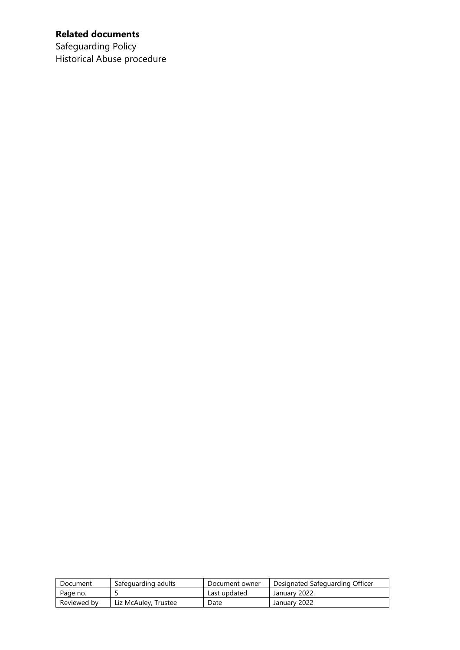# **Related documents**

Safeguarding Policy Historical Abuse procedure

| Document    | Safeguarding adults  | Document owner | Designated Safeguarding Officer |
|-------------|----------------------|----------------|---------------------------------|
| Page no.    |                      | Last updated   | January 2022                    |
| Reviewed by | Liz McAuley, Trustee | Date           | January 2022                    |